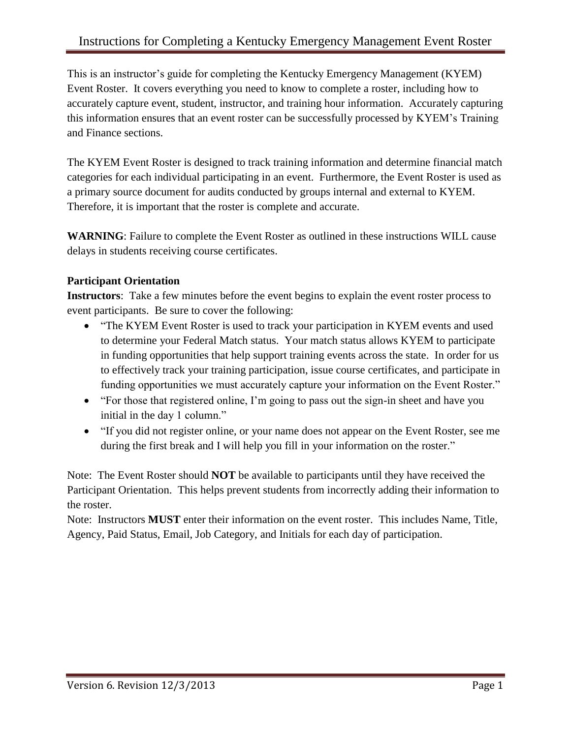This is an instructor's guide for completing the Kentucky Emergency Management (KYEM) Event Roster. It covers everything you need to know to complete a roster, including how to accurately capture event, student, instructor, and training hour information. Accurately capturing this information ensures that an event roster can be successfully processed by KYEM's Training and Finance sections.

The KYEM Event Roster is designed to track training information and determine financial match categories for each individual participating in an event. Furthermore, the Event Roster is used as a primary source document for audits conducted by groups internal and external to KYEM. Therefore, it is important that the roster is complete and accurate.

**WARNING**: Failure to complete the Event Roster as outlined in these instructions WILL cause delays in students receiving course certificates.

# **Participant Orientation**

**Instructors**: Take a few minutes before the event begins to explain the event roster process to event participants. Be sure to cover the following:

- "The KYEM Event Roster is used to track your participation in KYEM events and used to determine your Federal Match status. Your match status allows KYEM to participate in funding opportunities that help support training events across the state. In order for us to effectively track your training participation, issue course certificates, and participate in funding opportunities we must accurately capture your information on the Event Roster."
- "For those that registered online, I'm going to pass out the sign-in sheet and have you initial in the day 1 column."
- "If you did not register online, or your name does not appear on the Event Roster, see me during the first break and I will help you fill in your information on the roster."

Note: The Event Roster should **NOT** be available to participants until they have received the Participant Orientation. This helps prevent students from incorrectly adding their information to the roster.

Note: Instructors **MUST** enter their information on the event roster. This includes Name, Title, Agency, Paid Status, Email, Job Category, and Initials for each day of participation.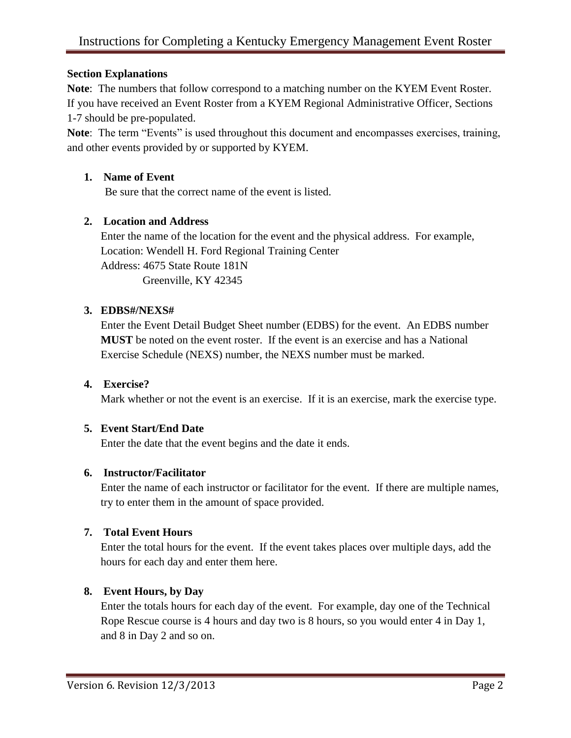### **Section Explanations**

**Note**: The numbers that follow correspond to a matching number on the KYEM Event Roster. If you have received an Event Roster from a KYEM Regional Administrative Officer, Sections 1-7 should be pre-populated.

**Note**: The term "Events" is used throughout this document and encompasses exercises, training, and other events provided by or supported by KYEM.

### **1. Name of Event**

Be sure that the correct name of the event is listed.

## **2. Location and Address**

Enter the name of the location for the event and the physical address. For example, Location: Wendell H. Ford Regional Training Center Address: 4675 State Route 181N Greenville, KY 42345

#### **3. EDBS#/NEXS#**

Enter the Event Detail Budget Sheet number (EDBS) for the event. An EDBS number **MUST** be noted on the event roster. If the event is an exercise and has a National Exercise Schedule (NEXS) number, the NEXS number must be marked.

### **4. Exercise?**

Mark whether or not the event is an exercise. If it is an exercise, mark the exercise type.

## **5. Event Start/End Date**

Enter the date that the event begins and the date it ends.

#### **6. Instructor/Facilitator**

Enter the name of each instructor or facilitator for the event. If there are multiple names, try to enter them in the amount of space provided.

#### **7. Total Event Hours**

Enter the total hours for the event. If the event takes places over multiple days, add the hours for each day and enter them here.

#### **8. Event Hours, by Day**

Enter the totals hours for each day of the event. For example, day one of the Technical Rope Rescue course is 4 hours and day two is 8 hours, so you would enter 4 in Day 1, and 8 in Day 2 and so on.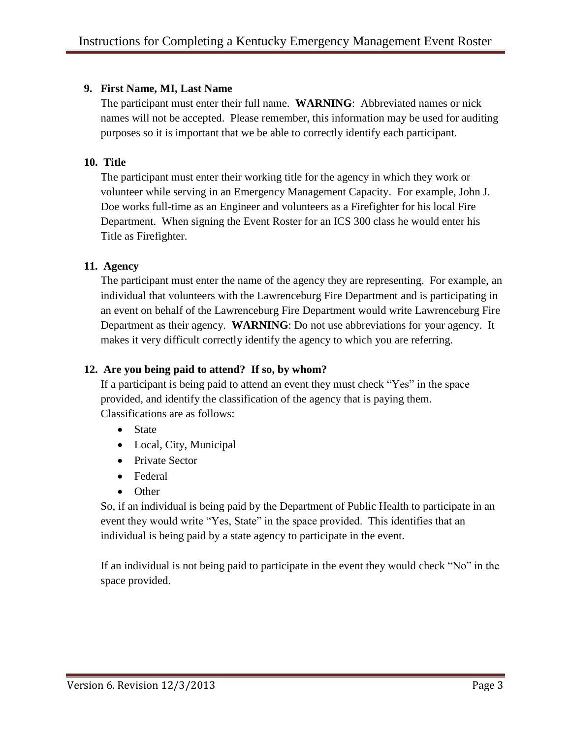## **9. First Name, MI, Last Name**

The participant must enter their full name. **WARNING**: Abbreviated names or nick names will not be accepted. Please remember, this information may be used for auditing purposes so it is important that we be able to correctly identify each participant.

## **10. Title**

The participant must enter their working title for the agency in which they work or volunteer while serving in an Emergency Management Capacity. For example, John J. Doe works full-time as an Engineer and volunteers as a Firefighter for his local Fire Department. When signing the Event Roster for an ICS 300 class he would enter his Title as Firefighter.

# **11. Agency**

The participant must enter the name of the agency they are representing. For example, an individual that volunteers with the Lawrenceburg Fire Department and is participating in an event on behalf of the Lawrenceburg Fire Department would write Lawrenceburg Fire Department as their agency. **WARNING**: Do not use abbreviations for your agency. It makes it very difficult correctly identify the agency to which you are referring.

# **12. Are you being paid to attend? If so, by whom?**

If a participant is being paid to attend an event they must check "Yes" in the space provided, and identify the classification of the agency that is paying them. Classifications are as follows:

- State
- Local, City, Municipal
- Private Sector
- Federal
- Other

So, if an individual is being paid by the Department of Public Health to participate in an event they would write "Yes, State" in the space provided. This identifies that an individual is being paid by a state agency to participate in the event.

If an individual is not being paid to participate in the event they would check "No" in the space provided.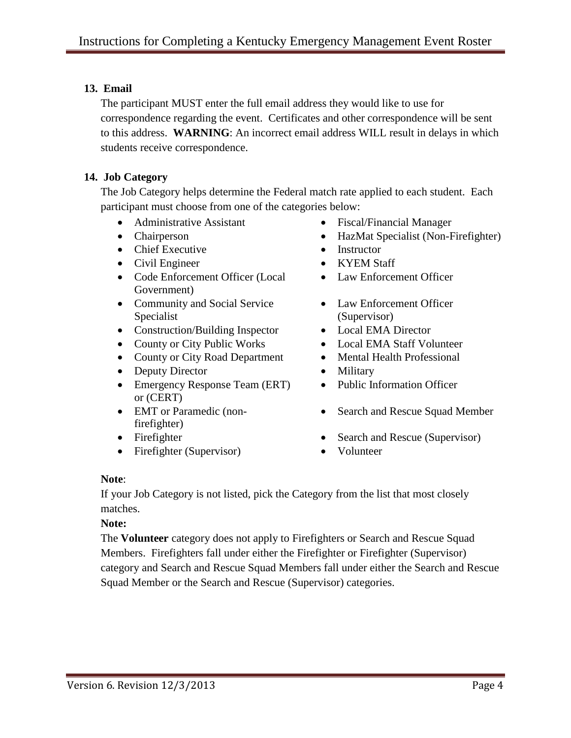# **13. Email**

The participant MUST enter the full email address they would like to use for correspondence regarding the event. Certificates and other correspondence will be sent to this address. **WARNING**: An incorrect email address WILL result in delays in which students receive correspondence.

# **14. Job Category**

The Job Category helps determine the Federal match rate applied to each student. Each participant must choose from one of the categories below:

- 
- 
- Chief Executive Instructor
- Civil Engineer KYEM Staff
- Code Enforcement Officer (Local Government)
- Community and Social Service Specialist
- Construction/Building Inspector Local EMA Director
- County or City Public Works Local EMA Staff Volunteer
- County or City Road Department Mental Health Professional
- Deputy Director Military
- Emergency Response Team (ERT) or (CERT)
- EMT or Paramedic (nonfirefighter)
- 
- Firefighter (Supervisor) Volunteer
- Administrative Assistant Fiscal/Financial Manager
- Chairperson HazMat Specialist (Non-Firefighter)
	-
	-
	- Law Enforcement Officer
	- Law Enforcement Officer (Supervisor)
	-
	-
	-
	-
	- Public Information Officer
	- Search and Rescue Squad Member
- Firefighter Search and Rescue (Supervisor)
	-

#### **Note**:

If your Job Category is not listed, pick the Category from the list that most closely matches.

**Note:**

The **Volunteer** category does not apply to Firefighters or Search and Rescue Squad Members. Firefighters fall under either the Firefighter or Firefighter (Supervisor) category and Search and Rescue Squad Members fall under either the Search and Rescue Squad Member or the Search and Rescue (Supervisor) categories.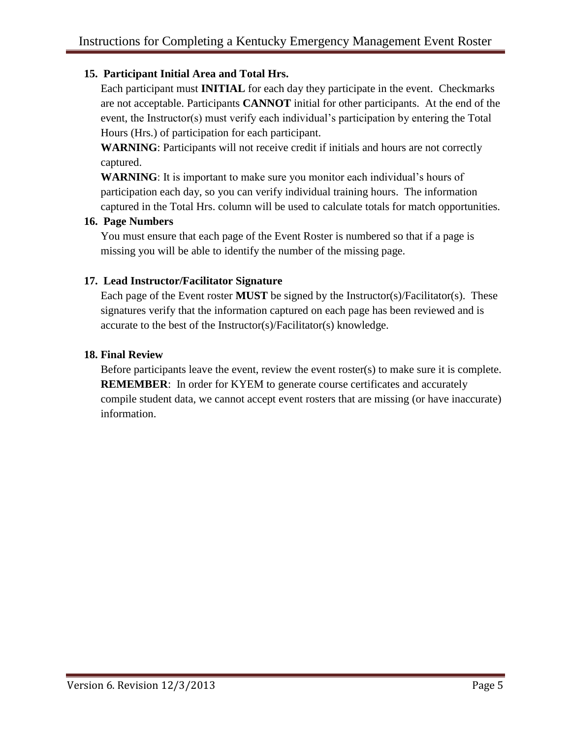# **15. Participant Initial Area and Total Hrs.**

Each participant must **INITIAL** for each day they participate in the event. Checkmarks are not acceptable. Participants **CANNOT** initial for other participants. At the end of the event, the Instructor(s) must verify each individual's participation by entering the Total Hours (Hrs.) of participation for each participant.

**WARNING**: Participants will not receive credit if initials and hours are not correctly captured.

**WARNING**: It is important to make sure you monitor each individual's hours of participation each day, so you can verify individual training hours. The information captured in the Total Hrs. column will be used to calculate totals for match opportunities.

### **16. Page Numbers**

You must ensure that each page of the Event Roster is numbered so that if a page is missing you will be able to identify the number of the missing page.

## **17. Lead Instructor/Facilitator Signature**

Each page of the Event roster **MUST** be signed by the Instructor(s)/Facilitator(s). These signatures verify that the information captured on each page has been reviewed and is accurate to the best of the Instructor(s)/Facilitator(s) knowledge.

## **18. Final Review**

Before participants leave the event, review the event roster(s) to make sure it is complete. **REMEMBER:** In order for KYEM to generate course certificates and accurately compile student data, we cannot accept event rosters that are missing (or have inaccurate) information.